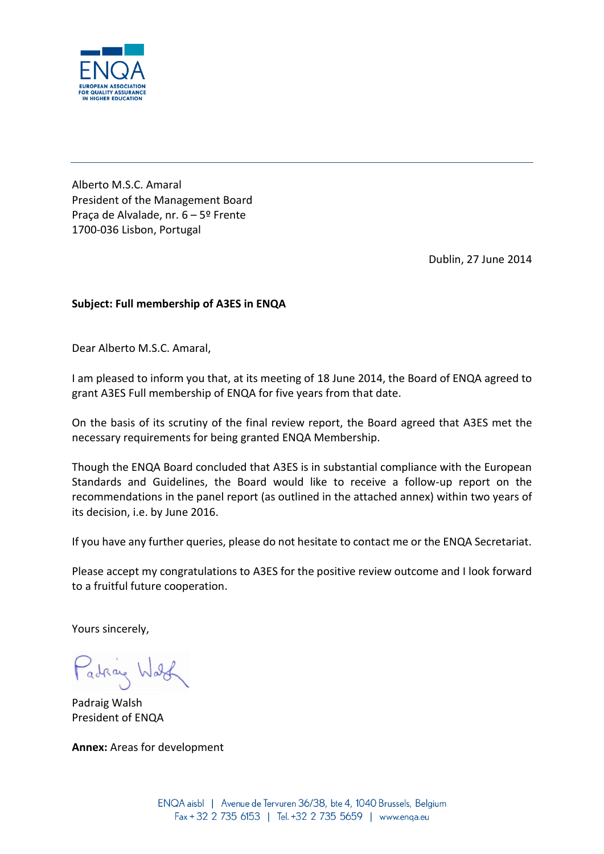

Alberto M.S.C. Amaral President of the Management Board Praça de Alvalade, nr. 6 – 5º Frente 1700-036 Lisbon, Portugal

Dublin, 27 June 2014

## **Subject: Full membership of A3ES in ENQA**

Dear Alberto M.S.C. Amaral,

I am pleased to inform you that, at its meeting of 18 June 2014, the Board of ENQA agreed to grant A3ES Full membership of ENQA for five years from that date.

On the basis of its scrutiny of the final review report, the Board agreed that A3ES met the necessary requirements for being granted ENQA Membership.

Though the ENQA Board concluded that A3ES is in substantial compliance with the European Standards and Guidelines, the Board would like to receive a follow-up report on the recommendations in the panel report (as outlined in the attached annex) within two years of its decision, i.e. by June 2016.

If you have any further queries, please do not hesitate to contact me or the ENQA Secretariat.

Please accept my congratulations to A3ES for the positive review outcome and I look forward to a fruitful future cooperation.

Yours sincerely,

Patrice Ward

Padraig Walsh President of ENQA

**Annex:** Areas for development